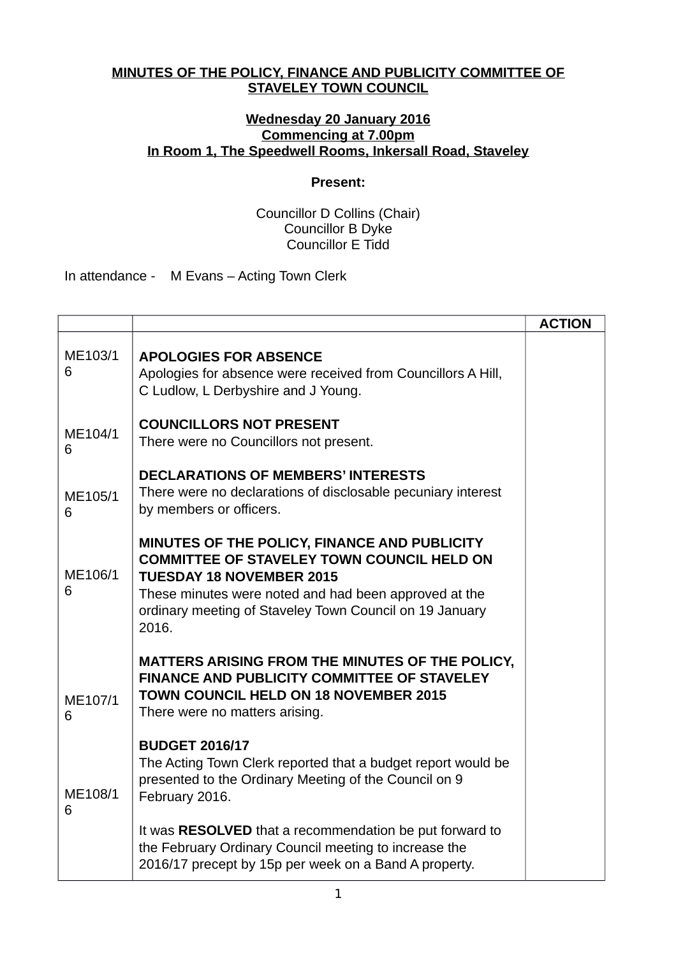## **MINUTES OF THE POLICY, FINANCE AND PUBLICITY COMMITTEE OF STAVELEY TOWN COUNCIL**

## **Wednesday 20 January 2016 Commencing at 7.00pm In Room 1, The Speedwell Rooms, Inkersall Road, Staveley**

## **Present:**

Councillor D Collins (Chair) Councillor B Dyke Councillor E Tidd

In attendance - M Evans – Acting Town Clerk

|              |                                                                                                                                                                                                                                                                   | <b>ACTION</b> |
|--------------|-------------------------------------------------------------------------------------------------------------------------------------------------------------------------------------------------------------------------------------------------------------------|---------------|
| ME103/1<br>6 | <b>APOLOGIES FOR ABSENCE</b><br>Apologies for absence were received from Councillors A Hill,<br>C Ludlow, L Derbyshire and J Young.                                                                                                                               |               |
| ME104/1<br>6 | <b>COUNCILLORS NOT PRESENT</b><br>There were no Councillors not present.                                                                                                                                                                                          |               |
| ME105/1<br>6 | <b>DECLARATIONS OF MEMBERS' INTERESTS</b><br>There were no declarations of disclosable pecuniary interest<br>by members or officers.                                                                                                                              |               |
| ME106/1<br>6 | MINUTES OF THE POLICY, FINANCE AND PUBLICITY<br><b>COMMITTEE OF STAVELEY TOWN COUNCIL HELD ON</b><br><b>TUESDAY 18 NOVEMBER 2015</b><br>These minutes were noted and had been approved at the<br>ordinary meeting of Staveley Town Council on 19 January<br>2016. |               |
| ME107/1<br>6 | MATTERS ARISING FROM THE MINUTES OF THE POLICY,<br><b>FINANCE AND PUBLICITY COMMITTEE OF STAVELEY</b><br><b>TOWN COUNCIL HELD ON 18 NOVEMBER 2015</b><br>There were no matters arising.                                                                           |               |
| ME108/1<br>6 | <b>BUDGET 2016/17</b><br>The Acting Town Clerk reported that a budget report would be<br>presented to the Ordinary Meeting of the Council on 9<br>February 2016.                                                                                                  |               |
|              | It was RESOLVED that a recommendation be put forward to<br>the February Ordinary Council meeting to increase the<br>2016/17 precept by 15p per week on a Band A property.                                                                                         |               |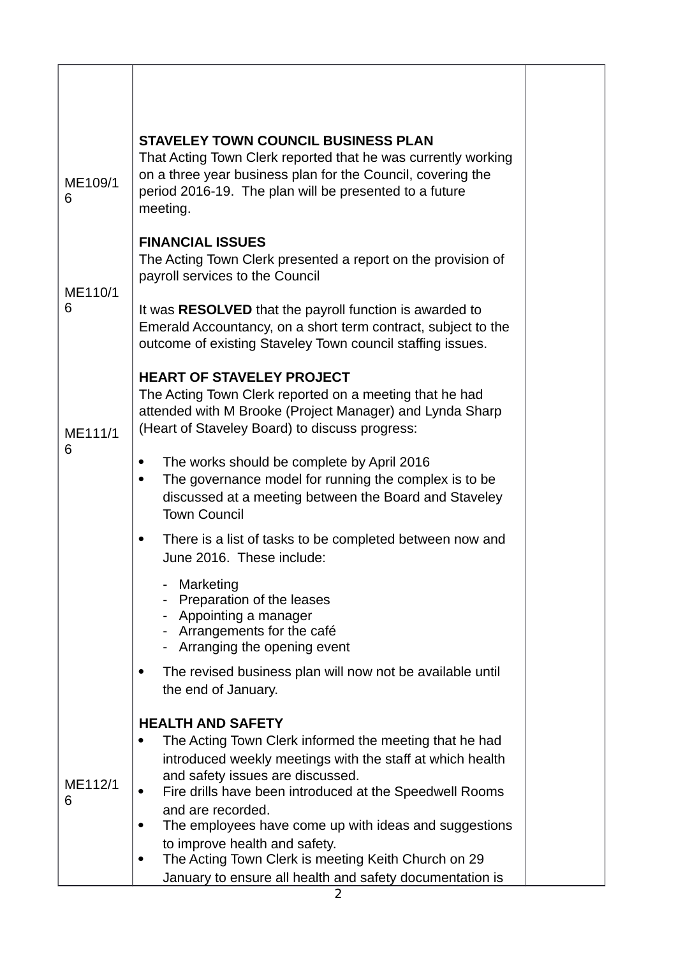| ME109/1<br>6 | <b>STAVELEY TOWN COUNCIL BUSINESS PLAN</b><br>That Acting Town Clerk reported that he was currently working<br>on a three year business plan for the Council, covering the<br>period 2016-19. The plan will be presented to a future<br>meeting. |
|--------------|--------------------------------------------------------------------------------------------------------------------------------------------------------------------------------------------------------------------------------------------------|
| ME110/1<br>6 | <b>FINANCIAL ISSUES</b><br>The Acting Town Clerk presented a report on the provision of<br>payroll services to the Council                                                                                                                       |
|              | It was <b>RESOLVED</b> that the payroll function is awarded to<br>Emerald Accountancy, on a short term contract, subject to the<br>outcome of existing Staveley Town council staffing issues.                                                    |
| ME111/1<br>6 | <b>HEART OF STAVELEY PROJECT</b><br>The Acting Town Clerk reported on a meeting that he had<br>attended with M Brooke (Project Manager) and Lynda Sharp<br>(Heart of Staveley Board) to discuss progress:                                        |
|              | The works should be complete by April 2016<br>$\bullet$<br>The governance model for running the complex is to be<br>$\bullet$<br>discussed at a meeting between the Board and Staveley<br><b>Town Council</b>                                    |
|              | There is a list of tasks to be completed between now and<br>٠<br>June 2016. These include:                                                                                                                                                       |
|              | Marketing<br>Preparation of the leases<br>- Appointing a manager<br>- Arrangements for the café<br>- Arranging the opening event                                                                                                                 |
|              | The revised business plan will now not be available until<br>٠<br>the end of January.                                                                                                                                                            |
| ME112/1<br>6 | <b>HEALTH AND SAFETY</b><br>The Acting Town Clerk informed the meeting that he had                                                                                                                                                               |
|              | introduced weekly meetings with the staff at which health<br>and safety issues are discussed.<br>Fire drills have been introduced at the Speedwell Rooms                                                                                         |
|              | and are recorded.<br>The employees have come up with ideas and suggestions<br>٠                                                                                                                                                                  |
|              | to improve health and safety.<br>The Acting Town Clerk is meeting Keith Church on 29<br>٠<br>January to ensure all health and safety documentation is                                                                                            |